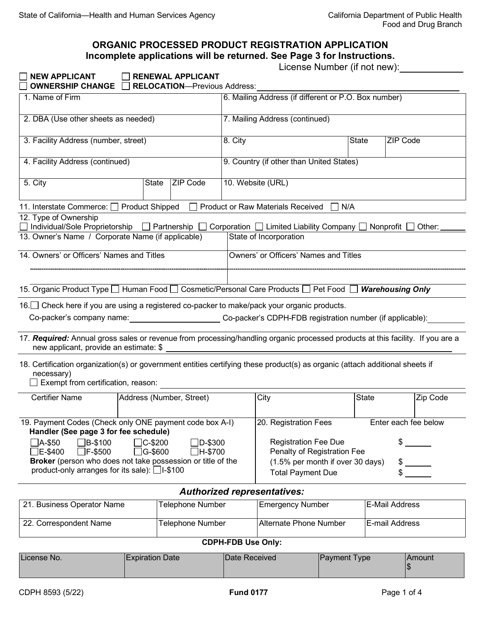## **ORGANIC PROCESSED PRODUCT REGISTRATION APPLICATION Incomplete applications will be returned. See Page 3 for Instructions.**

|  | License Number (if not new):_ |  |
|--|-------------------------------|--|
|  |                               |  |

| <b>NEW APPLICANT</b><br>OWNERSHIP CHANGE $\Box$                                                                                                                                       |                                                                                                                                                                                                     | <b>RENEWAL APPLICANT</b><br><b>RELOCATION-Previous Address:</b> |  |         |                                                      |     |              |                 |          |
|---------------------------------------------------------------------------------------------------------------------------------------------------------------------------------------|-----------------------------------------------------------------------------------------------------------------------------------------------------------------------------------------------------|-----------------------------------------------------------------|--|---------|------------------------------------------------------|-----|--------------|-----------------|----------|
| 1. Name of Firm                                                                                                                                                                       |                                                                                                                                                                                                     |                                                                 |  |         | 6. Mailing Address (if different or P.O. Box number) |     |              |                 |          |
| 2. DBA (Use other sheets as needed)                                                                                                                                                   |                                                                                                                                                                                                     |                                                                 |  |         | 7. Mailing Address (continued)                       |     |              |                 |          |
| 3. Facility Address (number, street)                                                                                                                                                  |                                                                                                                                                                                                     |                                                                 |  | 8. City |                                                      |     | <b>State</b> | <b>ZIP Code</b> |          |
| 4. Facility Address (continued)                                                                                                                                                       |                                                                                                                                                                                                     |                                                                 |  |         | 9. Country (if other than United States)             |     |              |                 |          |
| 5. City                                                                                                                                                                               | <b>State</b>                                                                                                                                                                                        | <b>ZIP Code</b>                                                 |  |         | 10. Website (URL)                                    |     |              |                 |          |
| 11. Interstate Commerce: <u>Queender</u> Shipped                                                                                                                                      |                                                                                                                                                                                                     | $\mathbf{I}$                                                    |  |         | Product or Raw Materials Received                    | N/A |              |                 |          |
| 12. Type of Ownership<br>$\Box$ Individual/Sole Proprietorship $\Box$ Partnership $\Box$ Corporation $\Box$ Limited Liability Company $\Box$ Nonprofit $\Box$ Other: _                |                                                                                                                                                                                                     |                                                                 |  |         |                                                      |     |              |                 |          |
| 13. Owner's Name / Corporate Name (if applicable)                                                                                                                                     |                                                                                                                                                                                                     |                                                                 |  |         | State of Incorporation                               |     |              |                 |          |
| 14. Owners' or Officers' Names and Titles                                                                                                                                             |                                                                                                                                                                                                     |                                                                 |  |         | Owners' or Officers' Names and Titles                |     |              |                 |          |
|                                                                                                                                                                                       |                                                                                                                                                                                                     |                                                                 |  |         |                                                      |     |              |                 |          |
| 15. Organic Product Type I Human Food I Cosmetic/Personal Care Products I Pet Food I Warehousing Only                                                                                 |                                                                                                                                                                                                     |                                                                 |  |         |                                                      |     |              |                 |          |
| 16. Check here if you are using a registered co-packer to make/pack your organic products.                                                                                            |                                                                                                                                                                                                     |                                                                 |  |         |                                                      |     |              |                 |          |
| Co-packer's company name: Co-packer's CDPH-FDB registration number (if applicable):                                                                                                   |                                                                                                                                                                                                     |                                                                 |  |         |                                                      |     |              |                 |          |
| 17. Required: Annual gross sales or revenue from processing/handling organic processed products at this facility. If you are a<br>new applicant, provide an estimate: \$ _            |                                                                                                                                                                                                     |                                                                 |  |         |                                                      |     |              |                 |          |
| 18. Certification organization(s) or government entities certifying these product(s) as organic (attach additional sheets if<br>necessary)<br>Exempt from certification, reason:      |                                                                                                                                                                                                     |                                                                 |  |         |                                                      |     |              |                 |          |
| <b>Certifier Name</b>                                                                                                                                                                 |                                                                                                                                                                                                     | Address (Number, Street)                                        |  |         | City                                                 |     | <b>State</b> |                 | Zip Code |
| 19. Payment Codes (Check only ONE payment code box A-I)<br>20. Registration Fees<br>Enter each fee below<br>Handler (See page 3 for fee schedule)                                     |                                                                                                                                                                                                     |                                                                 |  |         |                                                      |     |              |                 |          |
| <b>Registration Fee Due</b><br>\$<br>□A-\$50<br>$\Box$ B-\$100<br>C-\$200<br>$\n  D-$300\n$<br>Penalty of Registration Fee<br>$\Box$ F-\$500<br>G-\$600<br>□E-\$400<br>$\Box$ H-\$700 |                                                                                                                                                                                                     |                                                                 |  |         |                                                      |     |              |                 |          |
|                                                                                                                                                                                       | Broker (person who does not take possession or title of the<br>(1.5% per month if over 30 days)<br>$\frac{1}{2}$<br>product-only arranges for its sale): □I-\$100<br>\$<br><b>Total Payment Due</b> |                                                                 |  |         |                                                      |     |              |                 |          |
| <b>Authorized representatives:</b>                                                                                                                                                    |                                                                                                                                                                                                     |                                                                 |  |         |                                                      |     |              |                 |          |
| 21. Business Operator Name                                                                                                                                                            |                                                                                                                                                                                                     | Telephone Number                                                |  |         | <b>Emergency Number</b>                              |     |              | E-Mail Address  |          |
| 22. Correspondent Name                                                                                                                                                                |                                                                                                                                                                                                     | Telephone Number                                                |  |         | Alternate Phone Number                               |     |              | E-mail Address  |          |
|                                                                                                                                                                                       |                                                                                                                                                                                                     |                                                                 |  |         |                                                      |     |              |                 |          |

## **CDPH-FDB Use Only:**

|  | License No. | IExpiration Date | <b>IDate Received</b> | <b>Payment Type</b> | 'Amount |
|--|-------------|------------------|-----------------------|---------------------|---------|
|--|-------------|------------------|-----------------------|---------------------|---------|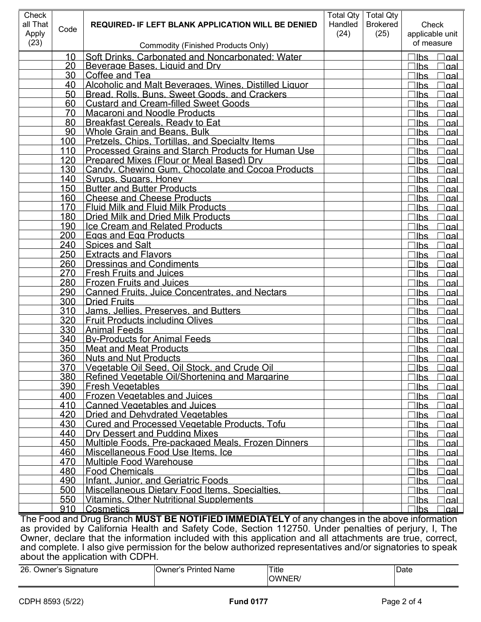| Check                                                                                                     |            |                                                                                                           |         | Total Qty   Total Qty |                                  |
|-----------------------------------------------------------------------------------------------------------|------------|-----------------------------------------------------------------------------------------------------------|---------|-----------------------|----------------------------------|
| all That                                                                                                  | Code       | <b>REQUIRED- IF LEFT BLANK APPLICATION WILL BE DENIED</b>                                                 | Handled | <b>Brokered</b>       | Check                            |
| Apply                                                                                                     |            |                                                                                                           | (24)    | (25)                  | applicable unit                  |
| (23)                                                                                                      |            | <b>Commodity (Finished Products Only)</b>                                                                 |         |                       | of measure                       |
|                                                                                                           | 10         | Soft Drinks. Carbonated and Noncarbonated: Water                                                          |         |                       | ∃lbs ⊥<br>∃gaL                   |
|                                                                                                           | 20         | Beverage Bases, Liquid and Drv                                                                            |         |                       | llbs<br><u>aal</u>               |
|                                                                                                           | 30         | Coffee and Tea                                                                                            |         |                       | llbs<br>aal                      |
|                                                                                                           | 40         | Alcoholic and Malt Beverages. Wines. Distilled Liquor                                                     |         |                       | lbs<br>aal                       |
|                                                                                                           | 50<br>60   | Bread, Rolls, Buns, Sweet Goods, and Crackers                                                             |         |                       | lbs<br>aal                       |
|                                                                                                           | 70         | <b>Custard and Cream-filled Sweet Goods</b><br><b>Macaroni and Noodle Products</b>                        |         |                       | lbs<br>aal<br>lbs                |
|                                                                                                           | 80         | <b>Breakfast Cereals, Ready to Eat</b>                                                                    |         |                       | aal<br>lbs<br>aal                |
|                                                                                                           | 90         | <b>Whole Grain and Beans, Bulk</b>                                                                        |         |                       | lbs<br>aal                       |
|                                                                                                           | 100        | Pretzels. Chips. Tortillas. and Specialty Items.                                                          |         |                       | lbs<br>aal                       |
|                                                                                                           | 110        | Processed Grains and Starch Products for Human Use                                                        |         |                       | lbs<br>aal                       |
|                                                                                                           | 120        | Prepared Mixes (Flour or Meal Based) Drv                                                                  |         |                       | lbs<br>aal                       |
|                                                                                                           | 130        | Candy. Chewing Gum. Chocolate and Cocoa Products                                                          |         |                       | lbs<br>aal                       |
|                                                                                                           | 140        | Syrups, Sugars, Honey                                                                                     |         |                       | lbs<br>aal                       |
|                                                                                                           | 150        | <b>Butter and Butter Products</b>                                                                         |         |                       | lbs<br>aal                       |
|                                                                                                           | 160        | <b>Cheese and Cheese Products</b>                                                                         |         |                       | lbs<br>aal                       |
|                                                                                                           | 170        | <b>Fluid Milk and Fluid Milk Products</b>                                                                 |         |                       | lbs<br>aal                       |
|                                                                                                           | 180        | <b>Dried Milk and Dried Milk Products</b>                                                                 |         |                       | lbs<br>aal                       |
|                                                                                                           | 190        | <b>Ice Cream and Related Products</b>                                                                     |         |                       | llbs<br>aal                      |
|                                                                                                           | 200        | <b>Eggs and Egg Products</b>                                                                              |         |                       | lbs<br>aal                       |
|                                                                                                           | 240        | <b>Spices and Salt</b>                                                                                    |         |                       | lbs<br>aal                       |
|                                                                                                           | 250        | <b>Extracts and Flavors</b>                                                                               |         |                       | lbs<br>aal                       |
|                                                                                                           | 260        | <b>Dressings and Condiments</b>                                                                           |         |                       | lbs<br>aal                       |
|                                                                                                           | 270        | <b>Fresh Fruits and Juices</b>                                                                            |         |                       | lbs<br>aal                       |
|                                                                                                           | 280        | <b>Frozen Fruits and Juices</b>                                                                           |         |                       | lbs<br>aal                       |
|                                                                                                           | 290        | <b>Canned Fruits, Juice Concentrates, and Nectars</b>                                                     |         |                       | lbs<br>aal                       |
|                                                                                                           | 300        | <b>Dried Fruits</b>                                                                                       |         |                       | lbs<br>aal                       |
|                                                                                                           | 310        | Jams. Jellies. Preserves. and Butters.                                                                    |         |                       | lbs<br>aal                       |
|                                                                                                           | 320        | <b>Fruit Products including Olives</b>                                                                    |         |                       | lbs<br><u>aal</u>                |
|                                                                                                           | 330        | <b>Animal Feeds</b>                                                                                       |         |                       | lbs<br><u>aal</u>                |
|                                                                                                           | 340        | <b>By-Products for Animal Feeds</b>                                                                       |         |                       | lbs<br><u>aal</u>                |
|                                                                                                           | 350<br>360 | <b>Meat and Meat Products</b><br><b>Nuts and Nut Products</b>                                             |         |                       | lbs<br>aal                       |
|                                                                                                           | 370        | Vegetable Oil Seed. Oil Stock, and Crude Oil                                                              |         |                       | $\Box$ lbs<br><u>dal</u>         |
|                                                                                                           | 380        | Refined Vegetable Oil/Shortening and Margarine                                                            |         |                       | llbs<br><u>aal</u><br>llbs       |
|                                                                                                           | 390        | <b>Fresh Vegetables</b>                                                                                   |         |                       | <u>aal</u><br>llbs<br><u>aal</u> |
|                                                                                                           | 400        | <b>Frozen Vegetables and Juices</b>                                                                       |         |                       | llbs<br><u>oal</u>               |
|                                                                                                           | 410        | Canned Vegetables and Juices                                                                              |         |                       | llbs<br><u>aal</u>               |
|                                                                                                           | 420        | <b>Dried and Dehvdrated Vegetables</b>                                                                    |         |                       | llbs<br><u>oal</u>               |
|                                                                                                           | 430        | Cured and Processed Vegetable Products. Tofu                                                              |         |                       | llbs<br><u>aal</u>               |
|                                                                                                           | 440        | <b>IDry Dessert and Pudding Mixes</b>                                                                     |         |                       | llbs<br><u>oal</u>               |
|                                                                                                           | 450        | Multiple Foods, Pre-packaged Meals, Frozen Dinners                                                        |         |                       | llbs<br><u>aal</u>               |
|                                                                                                           | 460        | Miscellaneous Food Use Items. Ice                                                                         |         |                       | llbs<br><u>aal</u>               |
|                                                                                                           | 470        | <b>Multiple Food Warehouse</b>                                                                            |         |                       | llbs<br><u>aal</u>               |
|                                                                                                           | 480        | <b>Food Chemicals</b>                                                                                     |         |                       | llbs<br><u>oal</u>               |
|                                                                                                           | 490        | Infant, Junior, and Geriatric Foods                                                                       |         |                       | llbs<br><u>aal</u>               |
|                                                                                                           | 500        | Miscellaneous Dietary Food Items. Specialties.                                                            |         |                       | llbs<br><u>aal</u>               |
|                                                                                                           |            | 550   Vitamins, Other Nutritional Supplements                                                             |         |                       | llbs<br><u>aal</u>               |
|                                                                                                           | 910        | Cosmetics                                                                                                 |         |                       | llbs<br>lgal                     |
|                                                                                                           |            | The Food and Drug Branch MUST BE NOTIFIED IMMEDIATELY of any changes in the above information             |         |                       |                                  |
| as provided by California Health and Safety Code, Section 112750. Under penalties of perjury, I, The      |            |                                                                                                           |         |                       |                                  |
|                                                                                                           |            | Owner, declare that the information included with this application and all attachments are true, correct, |         |                       |                                  |
| and complete. I also give permission for the below authorized representatives and/or signatories to speak |            |                                                                                                           |         |                       |                                  |
|                                                                                                           |            | about the application with CDPH.                                                                          |         |                       |                                  |

| 26. Owner's Signature | Owner's Printed Name | Title | <b>IDate</b> |
|-----------------------|----------------------|-------|--------------|
|                       |                      | )WNER |              |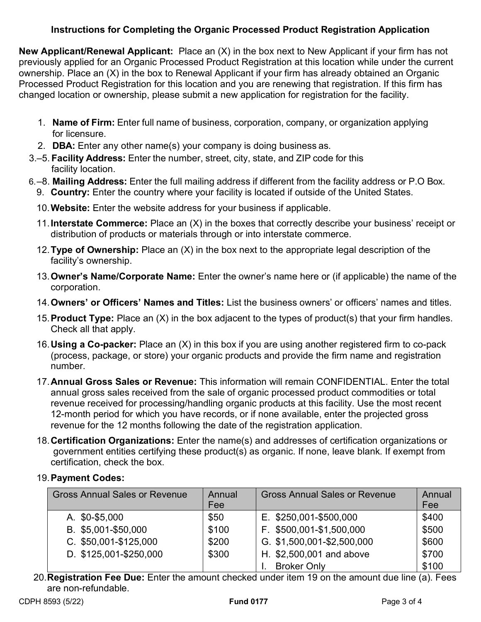## **Instructions for Completing the Organic Processed Product Registration Application**

**New Applicant/Renewal Applicant:** Place an (X) in the box next to New Applicant if your firm has not previously applied for an Organic Processed Product Registration at this location while under the current ownership. Place an (X) in the box to Renewal Applicant if your firm has already obtained an Organic Processed Product Registration for this location and you are renewing that registration. If this firm has changed location or ownership, please submit a new application for registration for the facility.

- 1. **Name of Firm:** Enter full name of business, corporation, company, or organization applying for licensure.
- 2. **DBA:** Enter any other name(s) your company is doing business as.
- 3.–5. **Facility Address:** Enter the number, street, city, state, and ZIP code for this facility location.
- 6.–8. **Mailing Address:** Enter the full mailing address if different from the facility address or P.O Box.
	- 9. **Country:** Enter the country where your facility is located if outside of the United States.
	- 10.**Website:** Enter the website address for your business if applicable.
	- 11.**Interstate Commerce:** Place an (X) in the boxes that correctly describe your business' receipt or distribution of products or materials through or into interstate commerce.
	- 12.**Type of Ownership:** Place an (X) in the box next to the appropriate legal description of the facility's ownership.
	- 13.**Owner's Name/Corporate Name:** Enter the owner's name here or (if applicable) the name of the corporation.
	- 14.**Owners' or Officers' Names and Titles:** List the business owners' or officers' names and titles.
	- 15.**Product Type:** Place an (X) in the box adjacent to the types of product(s) that your firm handles. Check all that apply.
	- 16.**Using a Co-packer:** Place an (X) in this box if you are using another registered firm to co-pack (process, package, or store) your organic products and provide the firm name and registration number.
	- 17.**Annual Gross Sales or Revenue:** This information will remain CONFIDENTIAL. Enter the total annual gross sales received from the sale of organic processed product commodities or total revenue received for processing/handling organic products at this facility. Use the most recent 12-month period for which you have records, or if none available, enter the projected gross revenue for the 12 months following the date of the registration application.
	- 18.**Certification Organizations:** Enter the name(s) and addresses of certification organizations or government entities certifying these product(s) as organic. If none, leave blank. If exempt from certification, check the box.

## 19.**Payment Codes:**

| <b>Gross Annual Sales or Revenue</b> | Annual<br>Fee | <b>Gross Annual Sales or Revenue</b> | Annual<br>Fee |
|--------------------------------------|---------------|--------------------------------------|---------------|
| A. \$0-\$5,000                       | \$50          | E. \$250,001-\$500,000               | \$400         |
| B. \$5,001-\$50,000                  | \$100         | F. \$500,001-\$1,500,000             | \$500         |
| C. \$50,001-\$125,000                | \$200         | G. \$1,500,001-\$2,500,000           | \$600         |
| D. \$125,001-\$250,000               | \$300         | H. \$2,500,001 and above             | \$700         |
|                                      |               | <b>Broker Only</b>                   | \$100         |

20.**Registration Fee Due:** Enter the amount checked under item 19 on the amount due line (a). Fees are non-refundable.